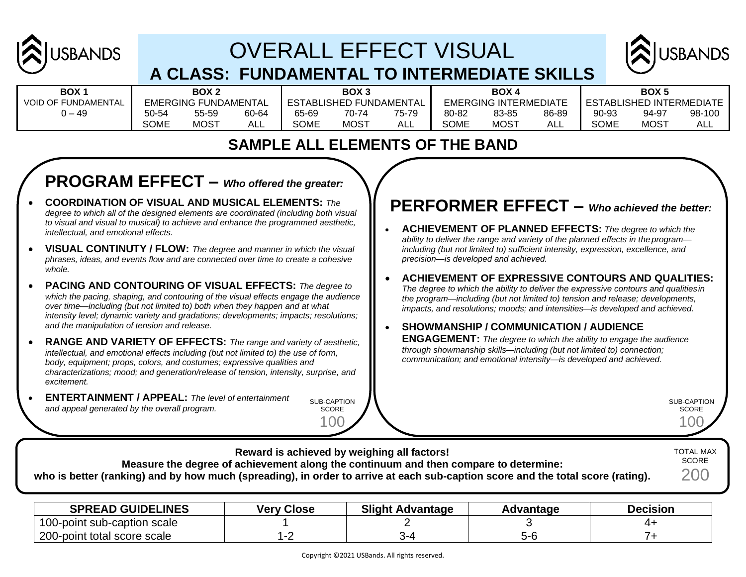

# OVERALL EFFECT VISUAL **A CLASS: FUNDAMENTAL TO INTERMEDIATE SKILLS**



| BOX 1                      |
|----------------------------|
| <b>VOID OF FUNDAMENTAL</b> |
| $0 - 49$                   |

| BOX 1              |             | BOX 2                       |       |       | BOX 3                   |       |             | BOX 4                        |       |                        | <b>BOX5</b> |
|--------------------|-------------|-----------------------------|-------|-------|-------------------------|-------|-------------|------------------------------|-------|------------------------|-------------|
| <b>FUNDAMENTAL</b> |             | <b>EMERGING FUNDAMENTAL</b> |       |       | ESTABLISHED FUNDAMENTAL |       |             | <b>EMERGING INTERMEDIATE</b> |       | <b>ESTABLISHED INT</b> |             |
| $0 - 49$           | 50-54       | 55-59                       | 60-64 | 65-69 | 70-74                   | 75-79 | 80-82       | 83-85                        | 86-89 | 90-93                  | 94-97       |
|                    | <b>SOME</b> | MOS <sup>T</sup>            | ALL   | SOME  | <b>MOST</b>             | ALL   | <b>SOME</b> | <b>MOST</b>                  | ALL   | SOME                   | MOST        |

| <b>BOX</b>          |       | BOX 2                       |       |             | BOX 3                          |       |             | BOX 4                 |       |             | <b>BOX 5</b>             |        |
|---------------------|-------|-----------------------------|-------|-------------|--------------------------------|-------|-------------|-----------------------|-------|-------------|--------------------------|--------|
| VOID OF FUNDAMENTAL |       | <b>EMERGING FUNDAMENTAL</b> |       |             | <b>ESTABLISHED FUNDAMENTAL</b> |       |             | EMERGING INTERMEDIATE |       |             | ESTABLISHED INTERMEDIATE |        |
| ) – 49              | 50-54 | 55-59                       | 60-64 | 65-69       | 70-74                          | 75-79 | 80-82       | 83-85                 | 86-89 | 90-93       | 94-97                    | 98-100 |
|                     | SOME  | <b>MOST</b>                 | ALL   | <b>SOME</b> | MOST                           | ALL   | <b>SOME</b> | <b>MOST</b>           | ALL   | <b>SOME</b> | MOS <sup>-</sup>         | ALL    |

| DAMENTAL | EMER  |
|----------|-------|
| 75-79    | 80-82 |
| ALL      | SOME  |

| DX 4 |             |               |
|------|-------------|---------------|
|      | NTERMEDIATE | <b>ESTABL</b> |
| 3-85 | 86-89       | $90-93$       |
| OST  |             | <b>SOME</b>   |

|             | ESTABLISHED INTERMEI |    |
|-------------|----------------------|----|
| 90-93       | 94-97                | 98 |
| <b>SOME</b> | MOST                 |    |
|             |                      |    |

### **SAMPLE ALL ELEMENTS OF THE BAND**

## **PROGRAM EFFECT –** *Who offered the greater:*

- **COORDINATION OF VISUAL AND MUSICAL ELEMENTS:** *The degree to which all of the designed elements are coordinated (including both visual to visual and visual to musical) to achieve and enhance the programmed aesthetic, intellectual, and emotional effects.*
- **VISUAL CONTINUTY / FLOW:** *The degree and manner in which the visual phrases, ideas, and events flow and are connected over time to create a cohesive whole.*
- **PACING AND CONTOURING OF VISUAL EFFECTS:** *The degree to which the pacing, shaping, and contouring of the visual effects engage the audience over time—including (but not limited to) both when they happen and at what intensity level; dynamic variety and gradations; developments; impacts; resolutions; and the manipulation of tension and release.*
- **RANGE AND VARIETY OF EFFECTS:** *The range and variety of aesthetic, intellectual, and emotional effects including (but not limited to) the use of form, body, equipment; props, colors, and costumes; expressive qualities and characterizations; mood; and generation/release of tension, intensity, surprise, and excitement.*
- **ENTERTAINMENT / APPEAL:** *The level of entertainment and appeal generated by the overall program.*

SUB-CAPTION SCORE

100

### **PERFORMER EFFECT –** *Who achieved the better:*

- **ACHIEVEMENT OF PLANNED EFFECTS:** *The degree to which the ability to deliver the range and variety of the planned effects in the program including (but not limited to) sufficient intensity, expression, excellence, and precision—is developed and achieved.*
- **ACHIEVEMENT OF EXPRESSIVE CONTOURS AND QUALITIES:**  *The degree to which the ability to deliver the expressive contours and qualitiesin the program—including (but not limited to) tension and release; developments, impacts, and resolutions; moods; and intensities—is developed and achieved.*

#### • **SHOWMANSHIP / COMMUNICATION / AUDIENCE ENGAGEMENT:** *The degree to which the ability to engage the audience*

*through showmanship skills—including (but not limited to) connection; communication; and emotional intensity—is developed and achieved.*

> SUB-CAPTION SCORE 100

**Reward is achieved by weighing all factors! Measure the degree of achievement along the continuum and then compare to determine: who is better (ranking) and by how much (spreading), in order to arrive at each sub-caption score and the total score (rating).** TOTAL MAX **SCORE** 200

| <b>SPREAD GUIDELINES</b>    | <b>Very Close</b> | <b>Slight Advantage</b> | Advantage | <b>Decision</b> |
|-----------------------------|-------------------|-------------------------|-----------|-----------------|
| 100-point sub-caption scale |                   |                         |           |                 |
| 200-point total score scale |                   |                         |           |                 |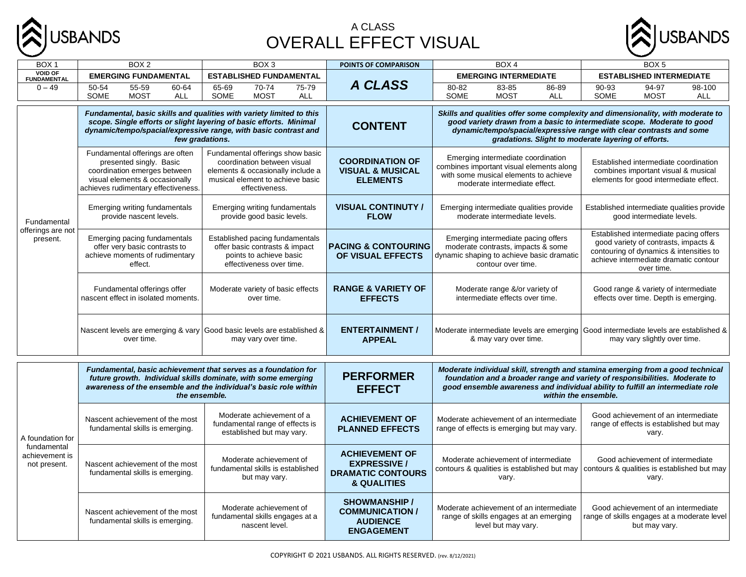

#### A CLASS OVERALL EFFECT VISUAL



| BOX <sub>1</sub>                                                                                                                                                                                                                 | BOX <sub>2</sub><br>BOX <sub>3</sub>                                                                                                                                                                |                                                                                                                                                            | POINTS OF COMPARISON | BOX 4                                                                                                                    |                                                                                           |                                                                                                                                                                                                                                                                                           | BOX <sub>5</sub>                                                                                   |                                                                                                                                              |                                                                                              |                                                                                                                                                                                  |                                                                                                     |                                                                                                                                                                                                                                                 |                      |
|----------------------------------------------------------------------------------------------------------------------------------------------------------------------------------------------------------------------------------|-----------------------------------------------------------------------------------------------------------------------------------------------------------------------------------------------------|------------------------------------------------------------------------------------------------------------------------------------------------------------|----------------------|--------------------------------------------------------------------------------------------------------------------------|-------------------------------------------------------------------------------------------|-------------------------------------------------------------------------------------------------------------------------------------------------------------------------------------------------------------------------------------------------------------------------------------------|----------------------------------------------------------------------------------------------------|----------------------------------------------------------------------------------------------------------------------------------------------|----------------------------------------------------------------------------------------------|----------------------------------------------------------------------------------------------------------------------------------------------------------------------------------|-----------------------------------------------------------------------------------------------------|-------------------------------------------------------------------------------------------------------------------------------------------------------------------------------------------------------------------------------------------------|----------------------|
| <b>VOID OF</b><br><b>FUNDAMENTAL</b>                                                                                                                                                                                             | <b>EMERGING FUNDAMENTAL</b>                                                                                                                                                                         |                                                                                                                                                            |                      |                                                                                                                          | <b>ESTABLISHED FUNDAMENTAL</b>                                                            |                                                                                                                                                                                                                                                                                           |                                                                                                    |                                                                                                                                              | <b>EMERGING INTERMEDIATE</b>                                                                 |                                                                                                                                                                                  |                                                                                                     | <b>ESTABLISHED INTERMEDIATE</b>                                                                                                                                                                                                                 |                      |
| $0 - 49$                                                                                                                                                                                                                         | 50-54<br>SOME                                                                                                                                                                                       | 55-59<br><b>MOST</b>                                                                                                                                       | 60-64<br><b>ALL</b>  | 65-69<br><b>SOME</b>                                                                                                     | $70-74$<br><b>MOST</b>                                                                    | 75-79<br><b>ALL</b>                                                                                                                                                                                                                                                                       | <b>A CLASS</b>                                                                                     | 80-82<br><b>SOME</b>                                                                                                                         | 83-85<br><b>MOST</b>                                                                         | 86-89<br><b>ALL</b>                                                                                                                                                              | 90-93<br><b>SOME</b>                                                                                | 94-97<br><b>MOST</b>                                                                                                                                                                                                                            | 98-100<br><b>ALL</b> |
| Fundamental, basic skills and qualities with variety limited to this<br>scope. Single efforts or slight layering of basic efforts. Minimal<br>dynamic/tempo/spacial/expressive range, with basic contrast and<br>few gradations. |                                                                                                                                                                                                     |                                                                                                                                                            |                      |                                                                                                                          | <b>CONTENT</b>                                                                            | Skills and qualities offer some complexity and dimensionality, with moderate to<br>good variety drawn from a basic to intermediate scope. Moderate to good<br>dynamic/tempo/spacial/expressive range with clear contrasts and some<br>gradations. Slight to moderate layering of efforts. |                                                                                                    |                                                                                                                                              |                                                                                              |                                                                                                                                                                                  |                                                                                                     |                                                                                                                                                                                                                                                 |                      |
| Fundamental offerings are often<br>presented singly. Basic<br>coordination emerges between<br>visual elements & occasionally<br>achieves rudimentary effectiveness.                                                              |                                                                                                                                                                                                     | Fundamental offerings show basic<br>coordination between visual<br>elements & occasionally include a<br>musical element to achieve basic<br>effectiveness. |                      |                                                                                                                          | <b>COORDINATION OF</b><br><b>VISUAL &amp; MUSICAL</b><br><b>ELEMENTS</b>                  | Emerging intermediate coordination<br>combines important visual elements along<br>with some musical elements to achieve<br>moderate intermediate effect.                                                                                                                                  |                                                                                                    |                                                                                                                                              |                                                                                              | Established intermediate coordination<br>combines important visual & musical<br>elements for good intermediate effect.                                                           |                                                                                                     |                                                                                                                                                                                                                                                 |                      |
| Fundamental                                                                                                                                                                                                                      | Emerging writing fundamentals                                                                                                                                                                       | provide nascent levels.                                                                                                                                    |                      |                                                                                                                          | Emerging writing fundamentals<br>provide good basic levels.                               |                                                                                                                                                                                                                                                                                           | <b>VISUAL CONTINUTY /</b><br><b>FLOW</b>                                                           |                                                                                                                                              | Emerging intermediate qualities provide<br>moderate intermediate levels.                     |                                                                                                                                                                                  |                                                                                                     | Established intermediate qualities provide<br>good intermediate levels.                                                                                                                                                                         |                      |
| offerings are not<br>present.                                                                                                                                                                                                    | Emerging pacing fundamentals<br>offer very basic contrasts to<br>achieve moments of rudimentary<br>effect.                                                                                          |                                                                                                                                                            |                      | Established pacing fundamentals<br>offer basic contrasts & impact<br>points to achieve basic<br>effectiveness over time. |                                                                                           | <b>PACING &amp; CONTOURING</b><br>OF VISUAL EFFECTS                                                                                                                                                                                                                                       |                                                                                                    | Emerging intermediate pacing offers<br>moderate contrasts, impacts & some<br>dynamic shaping to achieve basic dramatic<br>contour over time. |                                                                                              | Established intermediate pacing offers<br>good variety of contrasts, impacts &<br>contouring of dynamics & intensities to<br>achieve intermediate dramatic contour<br>over time. |                                                                                                     |                                                                                                                                                                                                                                                 |                      |
|                                                                                                                                                                                                                                  | Fundamental offerings offer<br>nascent effect in isolated moments.                                                                                                                                  |                                                                                                                                                            |                      | Moderate variety of basic effects<br>over time.                                                                          |                                                                                           |                                                                                                                                                                                                                                                                                           | <b>RANGE &amp; VARIETY OF</b><br><b>EFFECTS</b>                                                    |                                                                                                                                              | Moderate range &/or variety of<br>intermediate effects over time.                            |                                                                                                                                                                                  |                                                                                                     | Good range & variety of intermediate<br>effects over time. Depth is emerging.                                                                                                                                                                   |                      |
|                                                                                                                                                                                                                                  | over time.                                                                                                                                                                                          |                                                                                                                                                            |                      | Nascent levels are emerging & vary Good basic levels are established &<br>may vary over time.                            |                                                                                           | <b>ENTERTAINMENT /</b><br><b>APPEAL</b>                                                                                                                                                                                                                                                   |                                                                                                    | Moderate intermediate levels are emerging<br>& may vary over time.                                                                           |                                                                                              |                                                                                                                                                                                  | Good intermediate levels are established &<br>may vary slightly over time.                          |                                                                                                                                                                                                                                                 |                      |
|                                                                                                                                                                                                                                  | Fundamental, basic achievement that serves as a foundation for<br>future growth. Individual skills dominate, with some emerging<br>awareness of the ensemble and the individual's basic role within |                                                                                                                                                            | the ensemble.        |                                                                                                                          |                                                                                           |                                                                                                                                                                                                                                                                                           | <b>PERFORMER</b><br><b>EFFECT</b>                                                                  |                                                                                                                                              |                                                                                              |                                                                                                                                                                                  | within the ensemble.                                                                                | Moderate individual skill, strength and stamina emerging from a good technical<br>foundation and a broader range and variety of responsibilities. Moderate to<br>good ensemble awareness and individual ability to fulfill an intermediate role |                      |
| A foundation for                                                                                                                                                                                                                 | Nascent achievement of the most<br>fundamental skills is emerging.                                                                                                                                  |                                                                                                                                                            |                      |                                                                                                                          | Moderate achievement of a<br>fundamental range of effects is<br>established but may vary. |                                                                                                                                                                                                                                                                                           | <b>ACHIEVEMENT OF</b><br><b>PLANNED EFFECTS</b>                                                    |                                                                                                                                              | Moderate achievement of an intermediate<br>range of effects is emerging but may vary.        |                                                                                                                                                                                  |                                                                                                     | Good achievement of an intermediate<br>range of effects is established but may<br>vary.                                                                                                                                                         |                      |
| fundamental<br>achievement is<br>not present.                                                                                                                                                                                    | Nascent achievement of the most<br>fundamental skills is emerging.                                                                                                                                  |                                                                                                                                                            |                      |                                                                                                                          | Moderate achievement of<br>fundamental skills is established<br>but may vary.             |                                                                                                                                                                                                                                                                                           | <b>ACHIEVEMENT OF</b><br><b>EXPRESSIVE /</b><br><b>DRAMATIC CONTOURS</b><br><b>&amp; QUALITIES</b> |                                                                                                                                              | Moderate achievement of intermediate<br>contours & qualities is established but may<br>vary. |                                                                                                                                                                                  |                                                                                                     | Good achievement of intermediate<br>contours & qualities is established but may<br>vary.                                                                                                                                                        |                      |
|                                                                                                                                                                                                                                  |                                                                                                                                                                                                     | Moderate achievement of<br>Nascent achievement of the most<br>fundamental skills engages at a<br>fundamental skills is emerging.<br>nascent level.         |                      |                                                                                                                          |                                                                                           | <b>SHOWMANSHIP /</b><br><b>COMMUNICATION /</b><br><b>AUDIENCE</b><br><b>ENGAGEMENT</b>                                                                                                                                                                                                    |                                                                                                    | Moderate achievement of an intermediate<br>range of skills engages at an emerging<br>level but may vary.                                     |                                                                                              |                                                                                                                                                                                  | Good achievement of an intermediate<br>range of skills engages at a moderate level<br>but may vary. |                                                                                                                                                                                                                                                 |                      |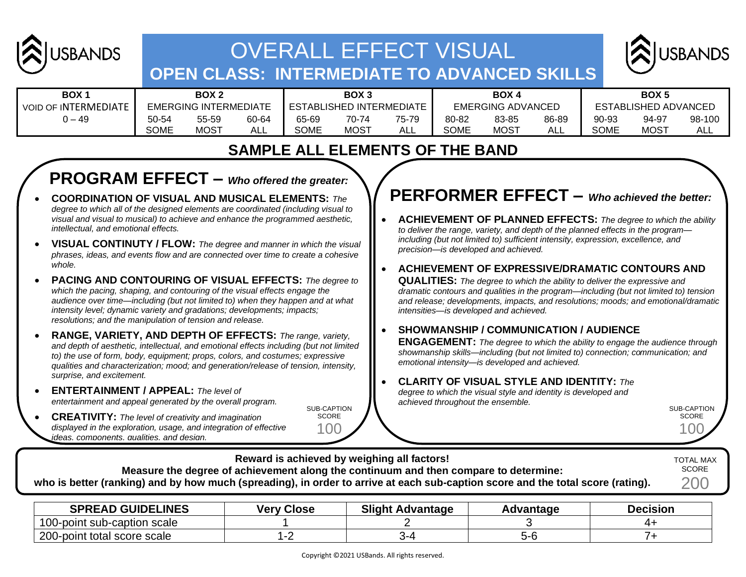

# OVERALL EFFECT VISUAL **OPEN CLASS: INTERMEDIATE TO ADVANCED SKILLS**



| <b>BOX1</b>                 | BOX <sub>2</sub> |                              |       | BOX <sub>3</sub> |                          |       | <b>BOX4</b> |                          |       | BOX <sub>5</sub> |                      |            |
|-----------------------------|------------------|------------------------------|-------|------------------|--------------------------|-------|-------------|--------------------------|-------|------------------|----------------------|------------|
| <b>VOID OF INTERMEDIATE</b> |                  | <b>EMERGING INTERMEDIATE</b> |       |                  | ESTABLISHED INTERMEDIATE |       |             | <b>EMERGING ADVANCED</b> |       |                  | ESTABLISHED ADVANCED |            |
| , – 49                      | 50-54            | 55-59                        | 60-64 | 65-69            | 70-74                    | 75-79 | 80-82       | 83-85                    | 86-89 | 90-93            | 94-97                | 98-100     |
|                             | <b>SOME</b>      | <b>MOST</b>                  | ALL   | <b>SOME</b>      | <b>MOST</b>              | ALL   | <b>SOME</b> | <b>MOST</b>              | AL.   | <b>SOME</b>      | <b>MOST</b>          | <b>ALL</b> |

#### **SAMPLE ALL ELEMENTS OF THE BAND**

### **PROGRAM EFFECT –** *Who offered the greater:*

- **COORDINATION OF VISUAL AND MUSICAL ELEMENTS:** *The degree to which all of the designed elements are coordinated (including visual to visual and visual to musical) to achieve and enhance the programmed aesthetic, intellectual, and emotional effects.*
- **VISUAL CONTINUTY / FLOW:** *The degree and manner in which the visual phrases, ideas, and events flow and are connected over time to create a cohesive whole.*
- **PACING AND CONTOURING OF VISUAL EFFECTS:** *The degree to which the pacing, shaping, and contouring of the visual effects engage the audience over time—including (but not limited to) when they happen and at what intensity level; dynamic variety and gradations; developments; impacts; resolutions; and the manipulation of tension and release.*
- **RANGE, VARIETY, AND DEPTH OF EFFECTS:** *The range, variety, and depth of aesthetic, intellectual, and emotional effects including (but not limited to) the use of form, body, equipment; props, colors, and costumes; expressive qualities and characterization; mood; and generation/release of tension, intensity, surprise, and excitement.*
- **ENTERTAINMENT / APPEAL:** *The level of entertainment and appeal generated by the overall program.*
- **CREATIVITY:** *The level of creativity and imagination displayed in the exploration, usage, and integration of effective ideas, components, qualities, and design.*

## **PERFORMER EFFECT –** *Who achieved the better:*

- **ACHIEVEMENT OF PLANNED EFFECTS:** *The degree to which the ability to deliver the range, variety, and depth of the planned effects in the program including (but not limited to) sufficient intensity, expression, excellence, and precision—is developed and achieved.*
- **ACHIEVEMENT OF EXPRESSIVE/DRAMATIC CONTOURS AND**

**QUALITIES:** *The degree to which the ability to deliver the expressive and dramatic contours and qualities in the program—including (but not limited to) tension and release; developments, impacts, and resolutions; moods; and emotional/dramatic intensities—is developed and achieved.*

#### • **SHOWMANSHIP / COMMUNICATION / AUDIENCE**

**ENGAGEMENT:** *The degree to which the ability to engage the audience through showmanship skills—including (but not limited to) connection; communication; and emotional intensity—is developed and achieved.*

#### • **CLARITY OF VISUAL STYLE AND IDENTITY:** *The*

*degree to which the visual style and identity is developed and achieved throughout the ensemble.*

SUB-CAPTION **SCORE** 100



SUB-CAPTION **SCORE** 100

| <b>SPREAD GUIDELINES</b>    | <b>Verv Close</b> | <b>Slight Advantage</b> | <b>\dvantage</b> | <b>Decision</b> |
|-----------------------------|-------------------|-------------------------|------------------|-----------------|
| 100-point sub-caption scale |                   |                         |                  |                 |
| 200-point total score scale |                   |                         |                  |                 |